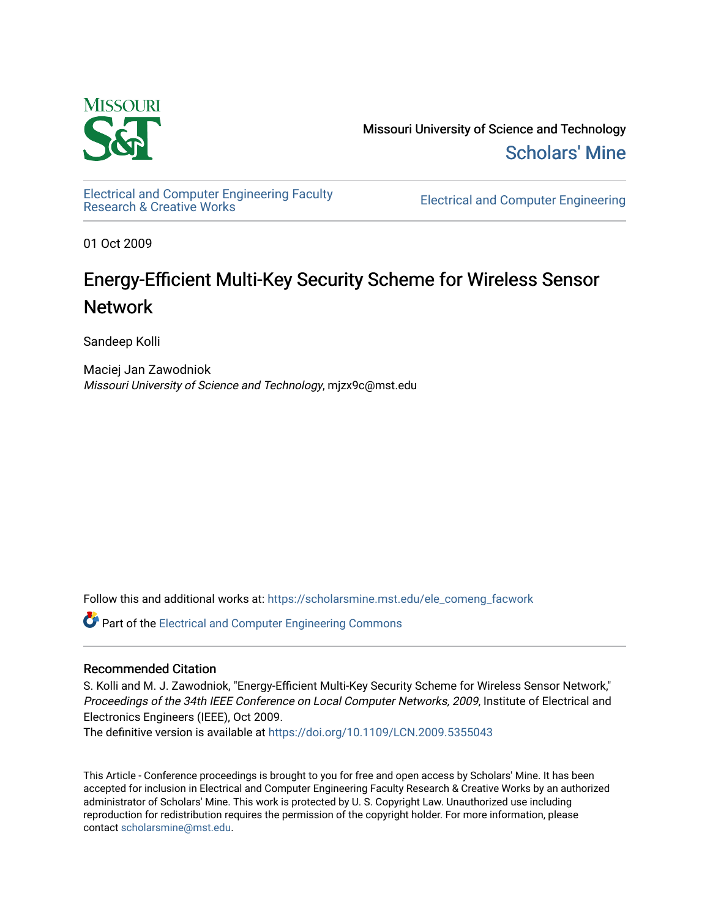

Missouri University of Science and Technology [Scholars' Mine](https://scholarsmine.mst.edu/) 

[Electrical and Computer Engineering Faculty](https://scholarsmine.mst.edu/ele_comeng_facwork)

**Electrical and Computer Engineering** 

01 Oct 2009

## Energy-Efficient Multi-Key Security Scheme for Wireless Sensor **Network**

Sandeep Kolli

Maciej Jan Zawodniok Missouri University of Science and Technology, mjzx9c@mst.edu

Follow this and additional works at: [https://scholarsmine.mst.edu/ele\\_comeng\\_facwork](https://scholarsmine.mst.edu/ele_comeng_facwork?utm_source=scholarsmine.mst.edu%2Fele_comeng_facwork%2F1015&utm_medium=PDF&utm_campaign=PDFCoverPages)

**C** Part of the Electrical and Computer Engineering Commons

### Recommended Citation

S. Kolli and M. J. Zawodniok, "Energy-Efficient Multi-Key Security Scheme for Wireless Sensor Network," Proceedings of the 34th IEEE Conference on Local Computer Networks, 2009, Institute of Electrical and Electronics Engineers (IEEE), Oct 2009.

The definitive version is available at <https://doi.org/10.1109/LCN.2009.5355043>

This Article - Conference proceedings is brought to you for free and open access by Scholars' Mine. It has been accepted for inclusion in Electrical and Computer Engineering Faculty Research & Creative Works by an authorized administrator of Scholars' Mine. This work is protected by U. S. Copyright Law. Unauthorized use including reproduction for redistribution requires the permission of the copyright holder. For more information, please contact [scholarsmine@mst.edu](mailto:scholarsmine@mst.edu).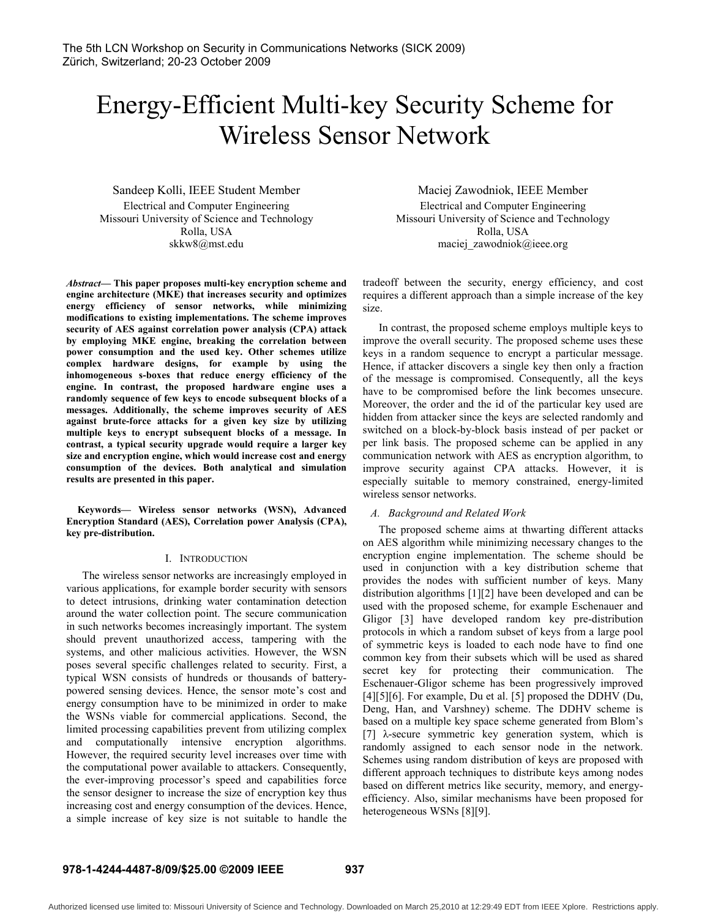# Energy-Efficient Multi-key Security Scheme for Wireless Sensor Network

Sandeep Kolli, IEEE Student Member

Electrical and Computer Engineering Missouri University of Science and Technology Rolla, USA skkw8@mst.edu

*Abstract***— This paper proposes multi-key encryption scheme and engine architecture (MKE) that increases security and optimizes energy efficiency of sensor networks, while minimizing modifications to existing implementations. The scheme improves security of AES against correlation power analysis (CPA) attack by employing MKE engine, breaking the correlation between power consumption and the used key. Other schemes utilize complex hardware designs, for example by using the inhomogeneous s-boxes that reduce energy efficiency of the engine. In contrast, the proposed hardware engine uses a randomly sequence of few keys to encode subsequent blocks of a messages. Additionally, the scheme improves security of AES against brute-force attacks for a given key size by utilizing multiple keys to encrypt subsequent blocks of a message. In contrast, a typical security upgrade would require a larger key size and encryption engine, which would increase cost and energy consumption of the devices. Both analytical and simulation results are presented in this paper.** 

**Keywords— Wireless sensor networks (WSN), Advanced Encryption Standard (AES), Correlation power Analysis (CPA), key pre-distribution.** 

#### I. INTRODUCTION

The wireless sensor networks are increasingly employed in various applications, for example border security with sensors to detect intrusions, drinking water contamination detection around the water collection point. The secure communication in such networks becomes increasingly important. The system should prevent unauthorized access, tampering with the systems, and other malicious activities. However, the WSN poses several specific challenges related to security. First, a typical WSN consists of hundreds or thousands of batterypowered sensing devices. Hence, the sensor mote's cost and energy consumption have to be minimized in order to make the WSNs viable for commercial applications. Second, the limited processing capabilities prevent from utilizing complex and computationally intensive encryption algorithms. However, the required security level increases over time with the computational power available to attackers. Consequently, the ever-improving processor's speed and capabilities force the sensor designer to increase the size of encryption key thus increasing cost and energy consumption of the devices. Hence, a simple increase of key size is not suitable to handle the

Maciej Zawodniok, IEEE Member Electrical and Computer Engineering Missouri University of Science and Technology Rolla, USA maciej zawodniok@ieee.org

tradeoff between the security, energy efficiency, and cost requires a different approach than a simple increase of the key size.

In contrast, the proposed scheme employs multiple keys to improve the overall security. The proposed scheme uses these keys in a random sequence to encrypt a particular message. Hence, if attacker discovers a single key then only a fraction of the message is compromised. Consequently, all the keys have to be compromised before the link becomes unsecure. Moreover, the order and the id of the particular key used are hidden from attacker since the keys are selected randomly and switched on a block-by-block basis instead of per packet or per link basis. The proposed scheme can be applied in any communication network with AES as encryption algorithm, to improve security against CPA attacks. However, it is especially suitable to memory constrained, energy-limited wireless sensor networks.

#### *A. Background and Related Work*

The proposed scheme aims at thwarting different attacks on AES algorithm while minimizing necessary changes to the encryption engine implementation. The scheme should be used in conjunction with a key distribution scheme that provides the nodes with sufficient number of keys. Many distribution algorithms [1][2] have been developed and can be used with the proposed scheme, for example Eschenauer and Gligor [3] have developed random key pre-distribution protocols in which a random subset of keys from a large pool of symmetric keys is loaded to each node have to find one common key from their subsets which will be used as shared secret key for protecting their communication. The Eschenauer-Gligor scheme has been progressively improved [4][5][6]. For example, Du et al. [5] proposed the DDHV (Du, Deng, Han, and Varshney) scheme. The DDHV scheme is based on a multiple key space scheme generated from Blom's [7] λ-secure symmetric key generation system, which is randomly assigned to each sensor node in the network. Schemes using random distribution of keys are proposed with different approach techniques to distribute keys among nodes based on different metrics like security, memory, and energyefficiency. Also, similar mechanisms have been proposed for heterogeneous WSNs [8][9].

#### **978-1-4244-4487-8/09/\$25.00 ©2009 IEEE 937**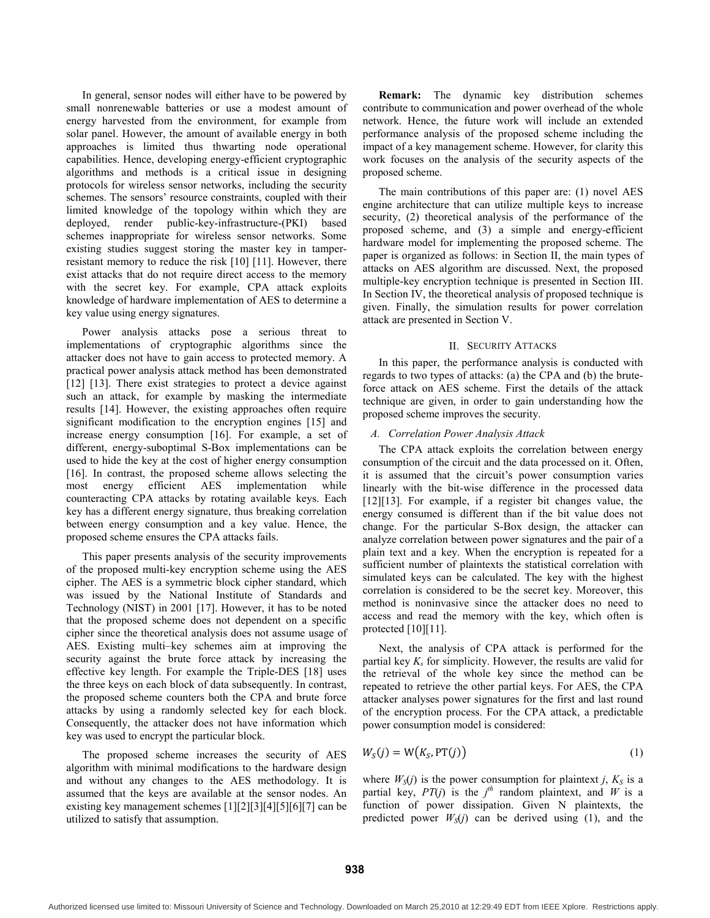In general, sensor nodes will either have to be powered by small nonrenewable batteries or use a modest amount of energy harvested from the environment, for example from solar panel. However, the amount of available energy in both approaches is limited thus thwarting node operational capabilities. Hence, developing energy-efficient cryptographic algorithms and methods is a critical issue in designing protocols for wireless sensor networks, including the security schemes. The sensors' resource constraints, coupled with their limited knowledge of the topology within which they are deployed, render public-key-infrastructure-(PKI) based schemes inappropriate for wireless sensor networks. Some existing studies suggest storing the master key in tamperresistant memory to reduce the risk [10] [11]. However, there exist attacks that do not require direct access to the memory with the secret key. For example, CPA attack exploits knowledge of hardware implementation of AES to determine a key value using energy signatures.

Power analysis attacks pose a serious threat to implementations of cryptographic algorithms since the attacker does not have to gain access to protected memory. A practical power analysis attack method has been demonstrated [12] [13]. There exist strategies to protect a device against such an attack, for example by masking the intermediate results [14]. However, the existing approaches often require significant modification to the encryption engines [15] and increase energy consumption [16]. For example, a set of different, energy-suboptimal S-Box implementations can be used to hide the key at the cost of higher energy consumption [16]. In contrast, the proposed scheme allows selecting the most energy efficient AES implementation while counteracting CPA attacks by rotating available keys. Each key has a different energy signature, thus breaking correlation between energy consumption and a key value. Hence, the proposed scheme ensures the CPA attacks fails.

This paper presents analysis of the security improvements of the proposed multi-key encryption scheme using the AES cipher. The AES is a symmetric block cipher standard, which was issued by the National Institute of Standards and Technology (NIST) in 2001 [17]. However, it has to be noted that the proposed scheme does not dependent on a specific cipher since the theoretical analysis does not assume usage of AES. Existing multi–key schemes aim at improving the security against the brute force attack by increasing the effective key length. For example the Triple-DES [18] uses the three keys on each block of data subsequently. In contrast, the proposed scheme counters both the CPA and brute force attacks by using a randomly selected key for each block. Consequently, the attacker does not have information which key was used to encrypt the particular block.

The proposed scheme increases the security of AES algorithm with minimal modifications to the hardware design and without any changes to the AES methodology. It is assumed that the keys are available at the sensor nodes. An existing key management schemes [1][2][3][4][5][6][7] can be utilized to satisfy that assumption.

**Remark:** The dynamic key distribution schemes contribute to communication and power overhead of the whole network. Hence, the future work will include an extended performance analysis of the proposed scheme including the impact of a key management scheme. However, for clarity this work focuses on the analysis of the security aspects of the proposed scheme.

The main contributions of this paper are: (1) novel AES engine architecture that can utilize multiple keys to increase security, (2) theoretical analysis of the performance of the proposed scheme, and (3) a simple and energy-efficient hardware model for implementing the proposed scheme. The paper is organized as follows: in Section II, the main types of attacks on AES algorithm are discussed. Next, the proposed multiple-key encryption technique is presented in Section III. In Section IV, the theoretical analysis of proposed technique is given. Finally, the simulation results for power correlation attack are presented in Section V.

#### II. SECURITY ATTACKS

In this paper, the performance analysis is conducted with regards to two types of attacks: (a) the CPA and (b) the bruteforce attack on AES scheme. First the details of the attack technique are given, in order to gain understanding how the proposed scheme improves the security.

#### *A. Correlation Power Analysis Attack*

The CPA attack exploits the correlation between energy consumption of the circuit and the data processed on it. Often, it is assumed that the circuit's power consumption varies linearly with the bit-wise difference in the processed data [12][13]. For example, if a register bit changes value, the energy consumed is different than if the bit value does not change. For the particular S-Box design, the attacker can analyze correlation between power signatures and the pair of a plain text and a key. When the encryption is repeated for a sufficient number of plaintexts the statistical correlation with simulated keys can be calculated. The key with the highest correlation is considered to be the secret key. Moreover, this method is noninvasive since the attacker does no need to access and read the memory with the key, which often is protected [10][11].

Next, the analysis of CPA attack is performed for the partial key  $K_s$  for simplicity. However, the results are valid for the retrieval of the whole key since the method can be repeated to retrieve the other partial keys. For AES, the CPA attacker analyses power signatures for the first and last round of the encryption process. For the CPA attack, a predictable power consumption model is considered:

$$
W_S(j) = W(K_S, PT(j))
$$
\n(1)

where  $W_S(i)$  is the power consumption for plaintext *j*,  $K_S$  is a partial key,  $PT(j)$  is the  $j<sup>th</sup>$  random plaintext, and *W* is a function of power dissipation. Given N plaintexts, the predicted power  $W<sub>S</sub>(j)$  can be derived using (1), and the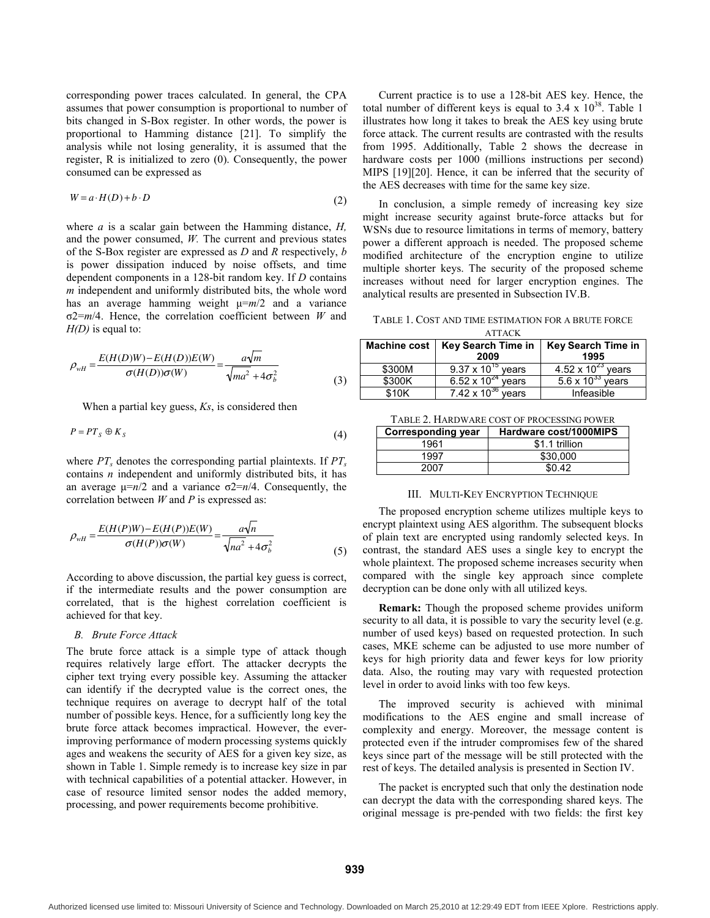corresponding power traces calculated. In general, the CPA assumes that power consumption is proportional to number of bits changed in S-Box register. In other words, the power is proportional to Hamming distance [21]. To simplify the analysis while not losing generality, it is assumed that the register, R is initialized to zero (0). Consequently, the power consumed can be expressed as

$$
W = a \cdot H(D) + b \cdot D \tag{2}
$$

where *a* is a scalar gain between the Hamming distance, *H,*  and the power consumed, *W.* The current and previous states of the S-Box register are expressed as *D* and *R* respectively, *b*  is power dissipation induced by noise offsets, and time dependent components in a 128-bit random key. If *D* contains *m* independent and uniformly distributed bits, the whole word has an average hamming weight μ=*m*/2 and a variance σ2=*m*/4. Hence, the correlation coefficient between *W* and  $H(D)$  is equal to:

$$
\rho_{wH} = \frac{E(H(D)W) - E(H(D))E(W)}{\sigma(H(D))\sigma(W)} = \frac{a\sqrt{m}}{\sqrt{ma^2 + 4\sigma_b^2}}
$$
(3)

When a partial key guess, *Ks*, is considered then

$$
P = PT_s \oplus K_s \tag{4}
$$

where  $PT_s$  denotes the corresponding partial plaintexts. If  $PT_s$ contains *n* independent and uniformly distributed bits, it has an average  $\mu = n/2$  and a variance  $\sigma = 2 = n/4$ . Consequently, the correlation between *W* and *P* is expressed as:

$$
\rho_{wH} = \frac{E(H(P)W) - E(H(P))E(W)}{\sigma(H(P))\sigma(W)} = \frac{a\sqrt{n}}{\sqrt{na^2 + 4\sigma_b^2}}
$$
\n(5)

According to above discussion, the partial key guess is correct, if the intermediate results and the power consumption are correlated, that is the highest correlation coefficient is achieved for that key.

#### *B. Brute Force Attack*

The brute force attack is a simple type of attack though requires relatively large effort. The attacker decrypts the cipher text trying every possible key. Assuming the attacker can identify if the decrypted value is the correct ones, the technique requires on average to decrypt half of the total number of possible keys. Hence, for a sufficiently long key the brute force attack becomes impractical. However, the everimproving performance of modern processing systems quickly ages and weakens the security of AES for a given key size, as shown in Table 1. Simple remedy is to increase key size in par with technical capabilities of a potential attacker. However, in case of resource limited sensor nodes the added memory, processing, and power requirements become prohibitive.

Current practice is to use a 128-bit AES key. Hence, the total number of different keys is equal to  $3.4 \times 10^{38}$ . Table 1 illustrates how long it takes to break the AES key using brute force attack. The current results are contrasted with the results from 1995. Additionally, Table 2 shows the decrease in hardware costs per 1000 (millions instructions per second) MIPS [19][20]. Hence, it can be inferred that the security of the AES decreases with time for the same key size.

In conclusion, a simple remedy of increasing key size might increase security against brute-force attacks but for WSNs due to resource limitations in terms of memory, battery power a different approach is needed. The proposed scheme modified architecture of the encryption engine to utilize multiple shorter keys. The security of the proposed scheme increases without need for larger encryption engines. The analytical results are presented in Subsection IV.B.

TABLE 1. COST AND TIME ESTIMATION FOR A BRUTE FORCE

| <b>ATTACK</b> |                                |                            |  |
|---------------|--------------------------------|----------------------------|--|
| Machine cost  | Key Search Time in             | <b>Key Search Time in</b>  |  |
|               | 2009                           | 1995                       |  |
| \$300M        | $9.37 \times 10^{15}$<br>vears | 4.52 x $10^{23}$ years     |  |
| \$300K        | 6.52 x $10^{24}$ years         | $5.6 \times 10^{33}$ years |  |
| \$10K         | $7.42 \times 10^{36}$<br>vears | Infeasible                 |  |

TABLE 2. HARDWARE COST OF PROCESSING POWER

| Corresponding year | Hardware cost/1000MIPS |
|--------------------|------------------------|
| 1961               | \$1.1 trillion         |
| 1997               | \$30,000               |
| 2007               | \$0.42                 |

#### III. MULTI-KEY ENCRYPTION TECHNIQUE

The proposed encryption scheme utilizes multiple keys to encrypt plaintext using AES algorithm. The subsequent blocks of plain text are encrypted using randomly selected keys. In contrast, the standard AES uses a single key to encrypt the whole plaintext. The proposed scheme increases security when compared with the single key approach since complete decryption can be done only with all utilized keys.

**Remark:** Though the proposed scheme provides uniform security to all data, it is possible to vary the security level (e.g. number of used keys) based on requested protection. In such cases, MKE scheme can be adjusted to use more number of keys for high priority data and fewer keys for low priority data. Also, the routing may vary with requested protection level in order to avoid links with too few keys.

The improved security is achieved with minimal modifications to the AES engine and small increase of complexity and energy. Moreover, the message content is protected even if the intruder compromises few of the shared keys since part of the message will be still protected with the rest of keys. The detailed analysis is presented in Section IV.

The packet is encrypted such that only the destination node can decrypt the data with the corresponding shared keys. The original message is pre-pended with two fields: the first key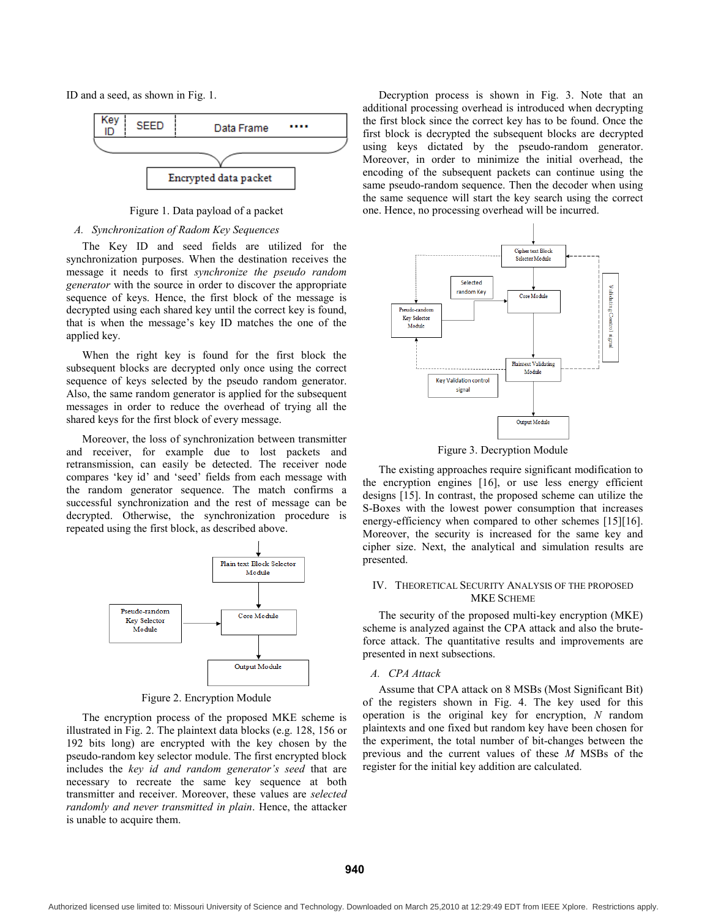ID and a seed, as shown in Fig. 1.



Figure 1. Data payload of a packet

#### *A. Synchronization of Radom Key Sequences*

The Key ID and seed fields are utilized for the synchronization purposes. When the destination receives the message it needs to first *synchronize the pseudo random generator* with the source in order to discover the appropriate sequence of keys. Hence, the first block of the message is decrypted using each shared key until the correct key is found, that is when the message's key ID matches the one of the applied key.

When the right key is found for the first block the subsequent blocks are decrypted only once using the correct sequence of keys selected by the pseudo random generator. Also, the same random generator is applied for the subsequent messages in order to reduce the overhead of trying all the shared keys for the first block of every message.

Moreover, the loss of synchronization between transmitter and receiver, for example due to lost packets and retransmission, can easily be detected. The receiver node compares 'key id' and 'seed' fields from each message with the random generator sequence. The match confirms a successful synchronization and the rest of message can be decrypted. Otherwise, the synchronization procedure is repeated using the first block, as described above.



Figure 2. Encryption Module

The encryption process of the proposed MKE scheme is illustrated in Fig. 2. The plaintext data blocks (e.g. 128, 156 or 192 bits long) are encrypted with the key chosen by the pseudo-random key selector module. The first encrypted block includes the *key id and random generator's seed* that are necessary to recreate the same key sequence at both transmitter and receiver. Moreover, these values are *selected randomly and never transmitted in plain*. Hence, the attacker is unable to acquire them.

Decryption process is shown in Fig. 3. Note that an additional processing overhead is introduced when decrypting the first block since the correct key has to be found. Once the first block is decrypted the subsequent blocks are decrypted using keys dictated by the pseudo-random generator. Moreover, in order to minimize the initial overhead, the encoding of the subsequent packets can continue using the same pseudo-random sequence. Then the decoder when using the same sequence will start the key search using the correct one. Hence, no processing overhead will be incurred.



Figure 3. Decryption Module

The existing approaches require significant modification to the encryption engines [16], or use less energy efficient designs [15]. In contrast, the proposed scheme can utilize the S-Boxes with the lowest power consumption that increases energy-efficiency when compared to other schemes [15][16]. Moreover, the security is increased for the same key and cipher size. Next, the analytical and simulation results are presented.

#### IV. THEORETICAL SECURITY ANALYSIS OF THE PROPOSED MKE SCHEME

The security of the proposed multi-key encryption (MKE) scheme is analyzed against the CPA attack and also the bruteforce attack. The quantitative results and improvements are presented in next subsections.

#### *A. CPA Attack*

Assume that CPA attack on 8 MSBs (Most Significant Bit) of the registers shown in Fig. 4. The key used for this operation is the original key for encryption, *N* random plaintexts and one fixed but random key have been chosen for the experiment, the total number of bit-changes between the previous and the current values of these *M* MSBs of the register for the initial key addition are calculated.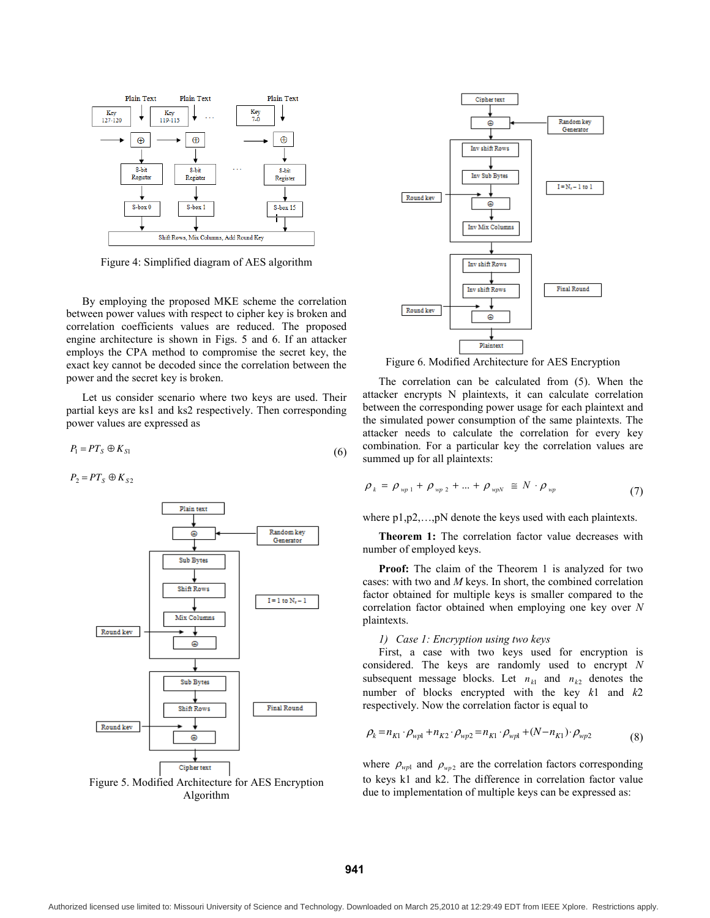

Figure 4: Simplified diagram of AES algorithm

By employing the proposed MKE scheme the correlation between power values with respect to cipher key is broken and correlation coefficients values are reduced. The proposed engine architecture is shown in Figs. 5 and 6. If an attacker employs the CPA method to compromise the secret key, the exact key cannot be decoded since the correlation between the power and the secret key is broken.

Let us consider scenario where two keys are used. Their partial keys are ks1 and ks2 respectively. Then corresponding power values are expressed as

$$
P_1 = PT_S \oplus K_{S1} \tag{6}
$$







Figure 6. Modified Architecture for AES Encryption

The correlation can be calculated from (5). When the attacker encrypts N plaintexts, it can calculate correlation between the corresponding power usage for each plaintext and the simulated power consumption of the same plaintexts. The attacker needs to calculate the correlation for every key combination. For a particular key the correlation values are summed up for all plaintexts:

$$
\rho_{k} = \rho_{wp_{1}} + \rho_{wp_{2}} + \dots + \rho_{wp_{N}} \equiv N \cdot \rho_{wp} \pmod{7}
$$
\n
$$
\rho_{k} = \rho_{wp_{1}} + \rho_{wp_{2}} + \dots + \rho_{wp_{N}} \equiv N \cdot \rho_{wp} \pmod{7}
$$

where p1,p2,…,pN denote the keys used with each plaintexts.

**Theorem 1:** The correlation factor value decreases with number of employed keys.

**Proof:** The claim of the Theorem 1 is analyzed for two cases: with two and *M* keys. In short, the combined correlation factor obtained for multiple keys is smaller compared to the correlation factor obtained when employing one key over *N* plaintexts.

#### *1) Case 1: Encryption using two keys*

First, a case with two keys used for encryption is considered. The keys are randomly used to encrypt *N* subsequent message blocks. Let  $n_{k1}$  and  $n_{k2}$  denotes the number of blocks encrypted with the key *k*1 and *k*2 respectively. Now the correlation factor is equal to

$$
\rho_k = n_{K1} \cdot \rho_{wp1} + n_{K2} \cdot \rho_{wp2} = n_{K1} \cdot \rho_{wp1} + (N - n_{K1}) \cdot \rho_{wp2}
$$
\n(8)

where  $\rho_{wp1}$  and  $\rho_{wp2}$  are the correlation factors corresponding to keys k1 and k2. The difference in correlation factor value due to implementation of multiple keys can be expressed as: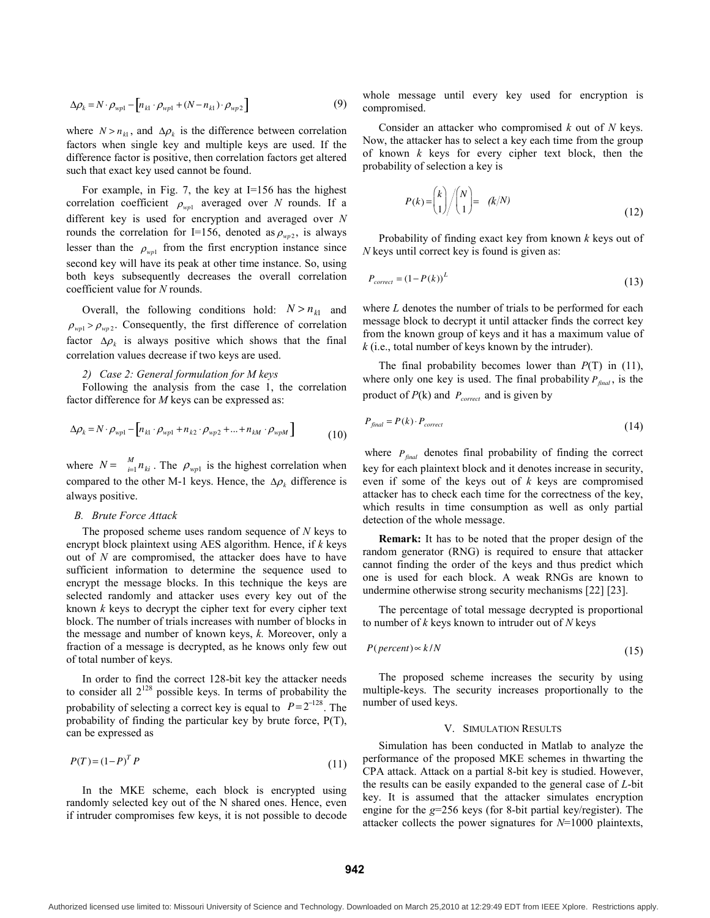$$
\Delta \rho_k = N \cdot \rho_{wp1} - \left[ n_{k1} \cdot \rho_{wp1} + (N - n_{k1}) \cdot \rho_{wp2} \right]
$$
\n(9)

where  $N > n_{k1}$ , and  $\Delta \rho_k$  is the difference between correlation factors when single key and multiple keys are used. If the difference factor is positive, then correlation factors get altered such that exact key used cannot be found.

For example, in Fig. 7, the key at I=156 has the highest correlation coefficient  $\rho_{wpl}$  averaged over *N* rounds. If a different key is used for encryption and averaged over *N* rounds the correlation for I=156, denoted as  $\rho_{wp2}$ , is always lesser than the  $\rho_{wp1}$  from the first encryption instance since second key will have its peak at other time instance. So, using both keys subsequently decreases the overall correlation coefficient value for *N* rounds.

Overall, the following conditions hold:  $N > n_{k1}$  and  $\rho_{wp1} > \rho_{wp2}$ . Consequently, the first difference of correlation factor  $\Delta \rho_k$  is always positive which shows that the final correlation values decrease if two keys are used.

#### *2) Case 2: General formulation for M keys*

Following the analysis from the case 1, the correlation factor difference for *M* keys can be expressed as:

$$
\Delta \rho_k = N \cdot \rho_{wp1} - \left[ n_{kl} \cdot \rho_{wp1} + n_{k2} \cdot \rho_{wp2} + \dots + n_{km} \cdot \rho_{wpM} \right] \tag{10}
$$

where  $N = \sum_{i=1}^{M} n_{ki}$ . The  $\rho_{wp1}$  is the highest correlation when compared to the other M-1 keys. Hence, the  $\Delta \rho_k$  difference is always positive.

#### *B. Brute Force Attack*

The proposed scheme uses random sequence of *N* keys to encrypt block plaintext using AES algorithm. Hence, if *k* keys out of *N* are compromised, the attacker does have to have sufficient information to determine the sequence used to encrypt the message blocks. In this technique the keys are selected randomly and attacker uses every key out of the known *k* keys to decrypt the cipher text for every cipher text block. The number of trials increases with number of blocks in the message and number of known keys, *k.* Moreover, only a fraction of a message is decrypted, as he knows only few out of total number of keys.

In order to find the correct 128-bit key the attacker needs to consider all  $2^{128}$  possible keys. In terms of probability the probability of selecting a correct key is equal to  $P = 2^{-128}$ . The probability of finding the particular key by brute force, P(T), can be expressed as

$$
P(T) = (1 - P)^T P \tag{11}
$$

In the MKE scheme, each block is encrypted using randomly selected key out of the N shared ones. Hence, even if intruder compromises few keys, it is not possible to decode whole message until every key used for encryption is compromised.

Consider an attacker who compromised *k* out of *N* keys. Now, the attacker has to select a key each time from the group of known *k* keys for every cipher text block, then the probability of selection a key is

$$
P(k) = \binom{k}{1} \bigg/ \binom{N}{1} = (k/N) \tag{12}
$$

Probability of finding exact key from known *k* keys out of *N* keys until correct key is found is given as:

$$
P_{correct} = (1 - P(k))^L \tag{13}
$$

where *L* denotes the number of trials to be performed for each message block to decrypt it until attacker finds the correct key from the known group of keys and it has a maximum value of *k* (i.e., total number of keys known by the intruder).

The final probability becomes lower than *P*(T) in (11), where only one key is used. The final probability  $P_{final}$ , is the product of  $P(k)$  and  $P_{correct}$  and is given by

$$
P_{\text{final}} = P(k) \cdot P_{\text{correct}} \tag{14}
$$

where  $P_{\text{final}}$  denotes final probability of finding the correct key for each plaintext block and it denotes increase in security, even if some of the keys out of *k* keys are compromised attacker has to check each time for the correctness of the key, which results in time consumption as well as only partial detection of the whole message.

**Remark:** It has to be noted that the proper design of the random generator (RNG) is required to ensure that attacker cannot finding the order of the keys and thus predict which one is used for each block. A weak RNGs are known to undermine otherwise strong security mechanisms [22] [23].

The percentage of total message decrypted is proportional to number of *k* keys known to intruder out of *N* keys

$$
P(\text{percent}) \propto k/N \tag{15}
$$

The proposed scheme increases the security by using multiple-keys. The security increases proportionally to the number of used keys.

#### V. SIMULATION RESULTS

Simulation has been conducted in Matlab to analyze the performance of the proposed MKE schemes in thwarting the CPA attack. Attack on a partial 8-bit key is studied. However, the results can be easily expanded to the general case of *L*-bit key. It is assumed that the attacker simulates encryption engine for the *g*=256 keys (for 8-bit partial key/register). The attacker collects the power signatures for *N*=1000 plaintexts,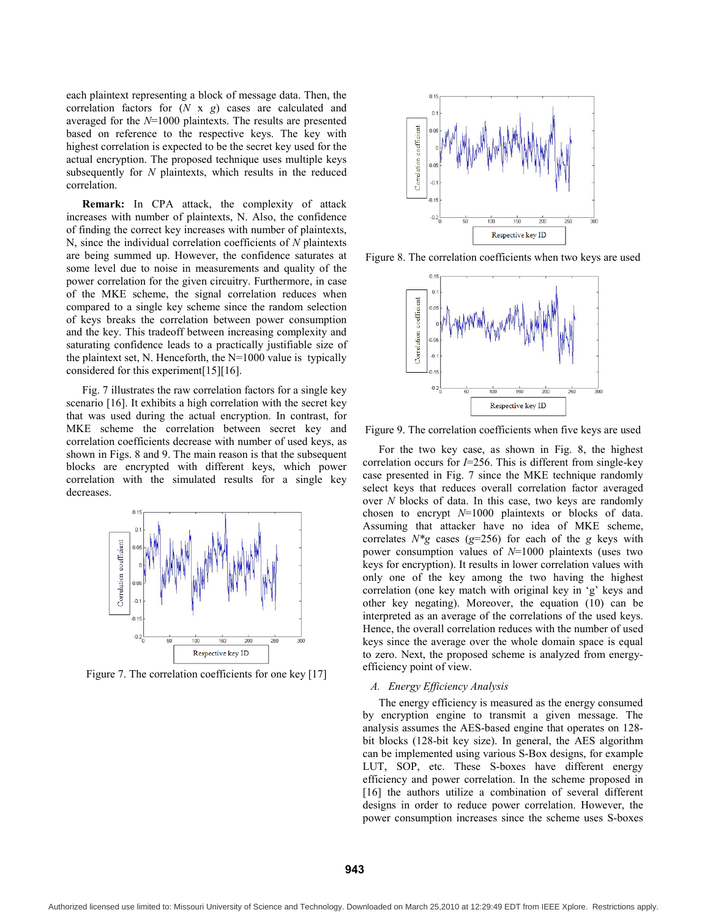each plaintext representing a block of message data. Then, the correlation factors for (*N* x *g*) cases are calculated and averaged for the *N*=1000 plaintexts. The results are presented based on reference to the respective keys. The key with highest correlation is expected to be the secret key used for the actual encryption. The proposed technique uses multiple keys subsequently for *N* plaintexts, which results in the reduced correlation.

**Remark:** In CPA attack, the complexity of attack increases with number of plaintexts, N. Also, the confidence of finding the correct key increases with number of plaintexts, N, since the individual correlation coefficients of *N* plaintexts are being summed up. However, the confidence saturates at some level due to noise in measurements and quality of the power correlation for the given circuitry. Furthermore, in case of the MKE scheme, the signal correlation reduces when compared to a single key scheme since the random selection of keys breaks the correlation between power consumption and the key. This tradeoff between increasing complexity and saturating confidence leads to a practically justifiable size of the plaintext set, N. Henceforth, the N=1000 value is typically considered for this experiment[15][16].

Fig. 7 illustrates the raw correlation factors for a single key scenario [16]. It exhibits a high correlation with the secret key that was used during the actual encryption. In contrast, for MKE scheme the correlation between secret key and correlation coefficients decrease with number of used keys, as shown in Figs. 8 and 9. The main reason is that the subsequent blocks are encrypted with different keys, which power correlation with the simulated results for a single key decreases.



Figure 7. The correlation coefficients for one key [17]



Figure 8. The correlation coefficients when two keys are used



Figure 9. The correlation coefficients when five keys are used

For the two key case, as shown in Fig. 8, the highest correlation occurs for *I*=256. This is different from single-key case presented in Fig. 7 since the MKE technique randomly select keys that reduces overall correlation factor averaged over *N* blocks of data. In this case, two keys are randomly chosen to encrypt *N*=1000 plaintexts or blocks of data. Assuming that attacker have no idea of MKE scheme, correlates *N\*g* cases (*g*=256) for each of the *g* keys with power consumption values of *N*=1000 plaintexts (uses two keys for encryption). It results in lower correlation values with only one of the key among the two having the highest correlation (one key match with original key in 'g' keys and other key negating). Moreover, the equation (10) can be interpreted as an average of the correlations of the used keys. Hence, the overall correlation reduces with the number of used keys since the average over the whole domain space is equal to zero. Next, the proposed scheme is analyzed from energyefficiency point of view.

#### *A. Energy Efficiency Analysis*

The energy efficiency is measured as the energy consumed by encryption engine to transmit a given message. The analysis assumes the AES-based engine that operates on 128 bit blocks (128-bit key size). In general, the AES algorithm can be implemented using various S-Box designs, for example LUT, SOP, etc. These S-boxes have different energy efficiency and power correlation. In the scheme proposed in [16] the authors utilize a combination of several different designs in order to reduce power correlation. However, the power consumption increases since the scheme uses S-boxes